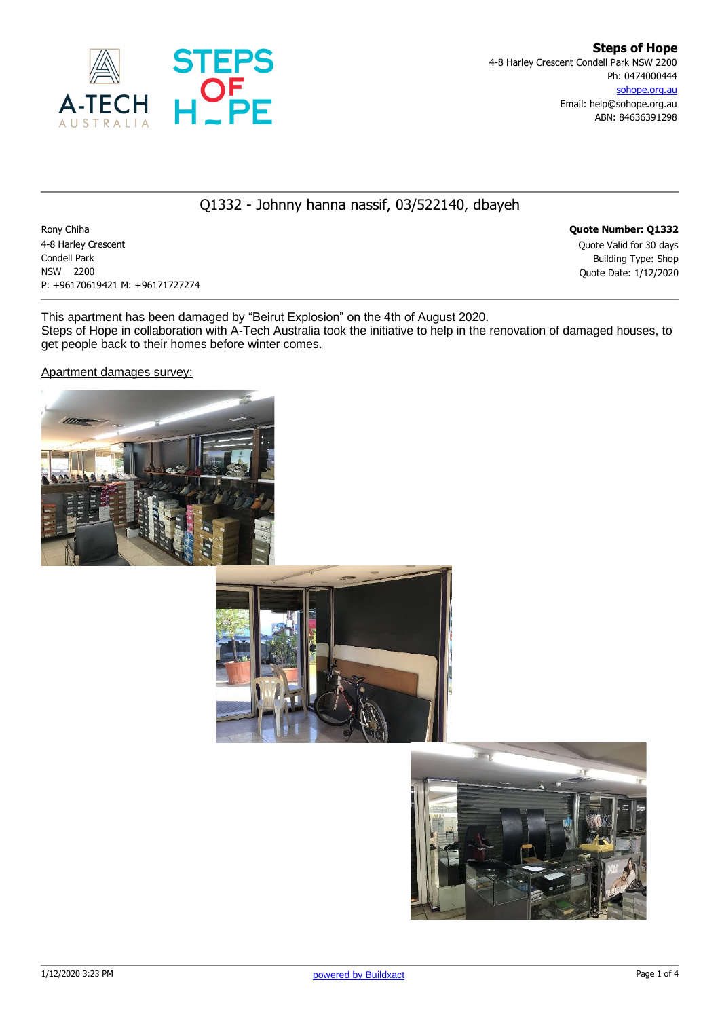

## Q1332 - Johnny hanna nassif, 03/522140, dbayeh

Rony Chiha **Quote Number: Q1332** 4-8 Harley Crescent Quote Valid for 30 days **Condell Park** Building Type: Shop NSW 2200 Quote Date: 1/12/2020 P: +96170619421 M: +96171727274

This apartment has been damaged by "Beirut Explosion" on the 4th of August 2020. Steps of Hope in collaboration with A-Tech Australia took the initiative to help in the renovation of damaged houses, to get people back to their homes before winter comes.

Apartment damages survey:





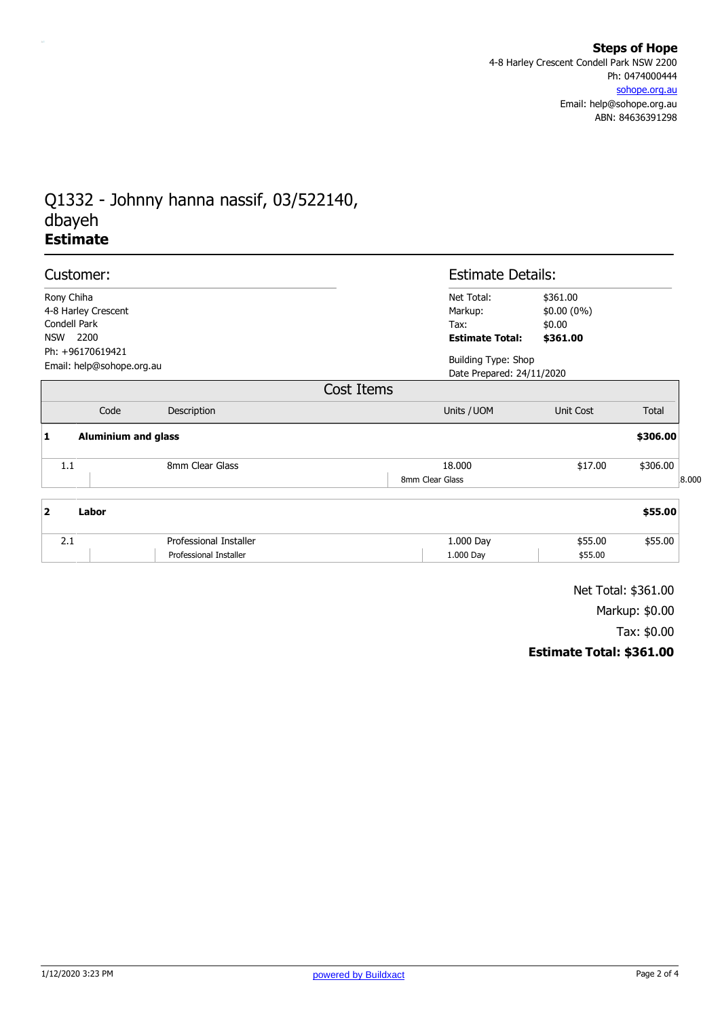## Q1332 - Johnny hanna nassif, 03/522140, dbayeh **Estimate**

| Customer:                                     |                        |                        | <b>Estimate Details:</b>                                |          |  |
|-----------------------------------------------|------------------------|------------------------|---------------------------------------------------------|----------|--|
| Rony Chiha                                    |                        | Net Total:             | \$361.00<br>$$0.00(0\%)$<br>\$0.00                      |          |  |
| 4-8 Harley Crescent                           |                        | Markup:                |                                                         |          |  |
| Condell Park                                  |                        | Tax:                   |                                                         |          |  |
| NSW 2200                                      |                        | <b>Estimate Total:</b> | \$361.00                                                |          |  |
| Ph: +96170619421<br>Email: help@sohope.org.au |                        |                        | <b>Building Type: Shop</b><br>Date Prepared: 24/11/2020 |          |  |
|                                               |                        | Cost Items             |                                                         |          |  |
| Code                                          | Description            | Units / UOM            | Unit Cost                                               | Total    |  |
| <b>Aluminium and glass</b><br>1               |                        |                        |                                                         | \$306.00 |  |
| 1.1                                           | 8mm Clear Glass        | 18.000                 | \$17.00                                                 | \$306.00 |  |
|                                               |                        | 8mm Clear Glass        |                                                         | 8.000    |  |
| $\overline{\mathbf{2}}$<br>Labor              |                        |                        |                                                         | \$55.00  |  |
| 2.1                                           | Professional Installer | 1.000 Day              | \$55.00                                                 | \$55.00  |  |

Professional Installer \$55.00

Net Total: \$361.00

Markup: \$0.00

Tax: \$0.00

## **Estimate Total: \$361.00**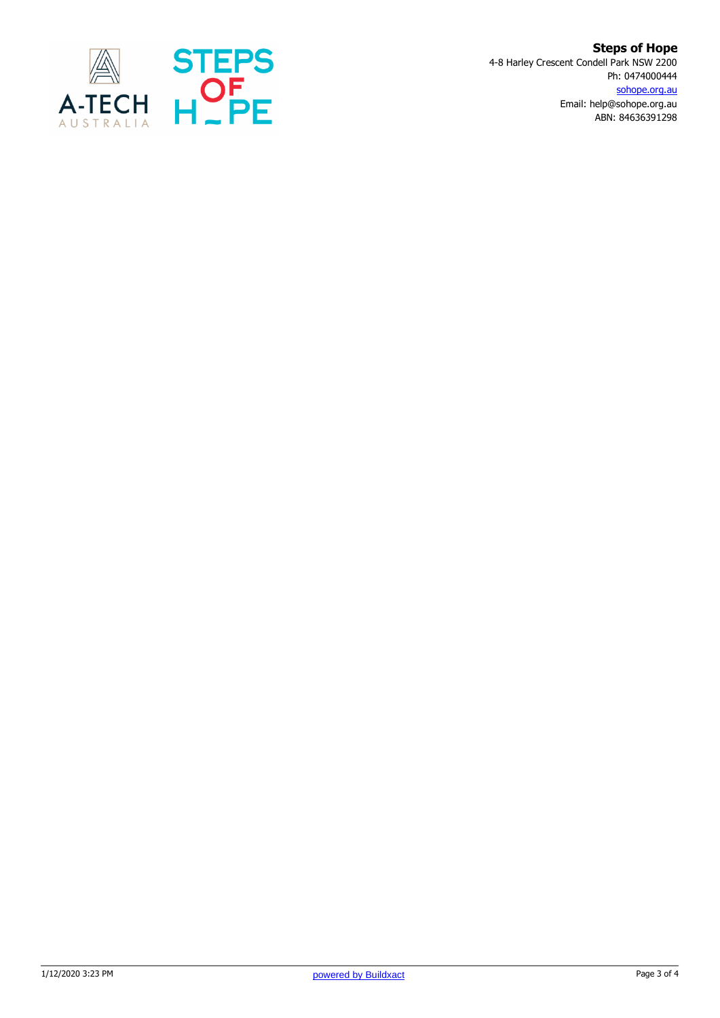

**Steps of Hope** 4-8 Harley Crescent Condell Park NSW 2200 Ph: 0474000444 sohope.org.au Email: help@sohope.org.au ABN: 84636391298